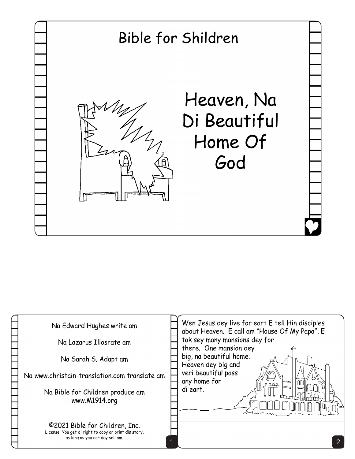

| Na Edward Hughes write am<br>Na Lazarus Illosrate am<br>Na Sarah S. Adapt am<br>Na www.christain-translation.com translate am<br>Na Bible for Children produce am | Wen Jesus dey live for eart E tell Hin disciples<br>about Heaven. E call am "House Of My Papa", E<br>tok sey many mansions dey for<br>there. One mansion dey<br>big, na beautiful home.<br>Heaven dey big and<br>veri beautiful pass<br>any home for<br><b>Mond</b><br>nnne<br>di eart. |
|-------------------------------------------------------------------------------------------------------------------------------------------------------------------|-----------------------------------------------------------------------------------------------------------------------------------------------------------------------------------------------------------------------------------------------------------------------------------------|
| www.M1914.org<br>©2021 Bible for Children, Inc.<br>License: You get di right to copy or print dis story,<br>as long as you nor dey sell am.                       |                                                                                                                                                                                                                                                                                         |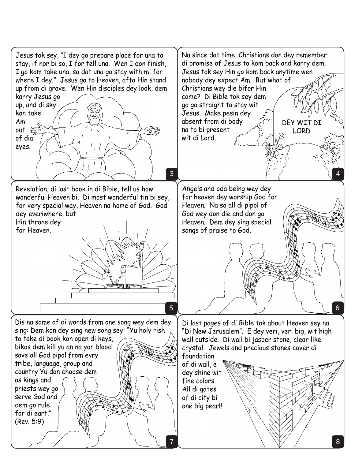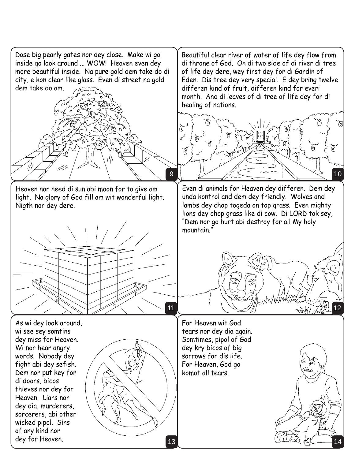